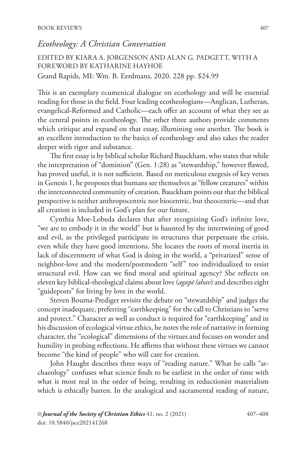## *Ecotheology: A Christian Conversation*

EDITED BY KIARA A. JORGENSON AND ALAN G. PADGETT, WITH A FOREWORD BY KATHARINE HAYHOE Grand Rapids, MI: Wm. B. Eerdmans, 2020. 228 pp. \$24.99

This is an exemplary ecumenical dialogue on ecothology and will be essential reading for those in the field. Four leading ecotheologians—Anglican, Lutheran, evangelical-Reformed and Catholic—each offer an account of what they see as the central points in ecotheology. The other three authors provide comments which critique and expand on that essay, illumining one another. The book is an excellent introduction to the basics of ecotheology and also takes the reader deeper with rigor and substance.

The first essay is by biblical scholar Richard Bauckham, who states that while the interpretation of "dominion" (Gen. 1:28) as "stewardship," however flawed, has proved useful, it is not sufficient. Based on meticulous exegesis of key verses in Genesis 1, he proposes that humans see themselves as "fellow creatures" within the interconnected community of creation. Bauckham points out that the biblical perspective is neither anthropocentric nor biocentric, but theocentric—and that all creation is included in God's plan for our future.

Cynthia Moe-Lobeda declares that after recognizing God's infinite love, "we are to embody it in the world" but is haunted by the intertwining of good and evil, as the privileged participate in structures that perpetuate the crisis, even while they have good intentions. She locates the roots of moral inertia in lack of discernment of what God is doing in the world, a "privatized" sense of neighbor-love and the modern/postmodern "self" too individualized to resist structural evil. How can we find moral and spiritual agency? She reflects on eleven key biblical-theological claims about love (*agapē /ahav*) and describes eight "guideposts" for living by love in the world.

Steven Bouma-Prediger revisits the debate on "stewardship" and judges the concept inadequate, preferring "earthkeeping" for the call to Christians to "serve and protect." Character as well as conduct is required for "earthkeeping" and in his discussion of ecological virtue ethics, he notes the role of narrative in forming character, the "ecological" dimensions of the virtues and focuses on wonder and humility in probing reflections. He affirms that without these virtues we cannot become "the kind of people" who will care for creation.

John Haught describes three ways of "reading nature." What he calls "archaeology" confuses what science finds to be earliest in the order of time with what is most real in the order of being, resulting in reductionist materialism which is ethically barren. In the analogical and sacramental reading of nature,